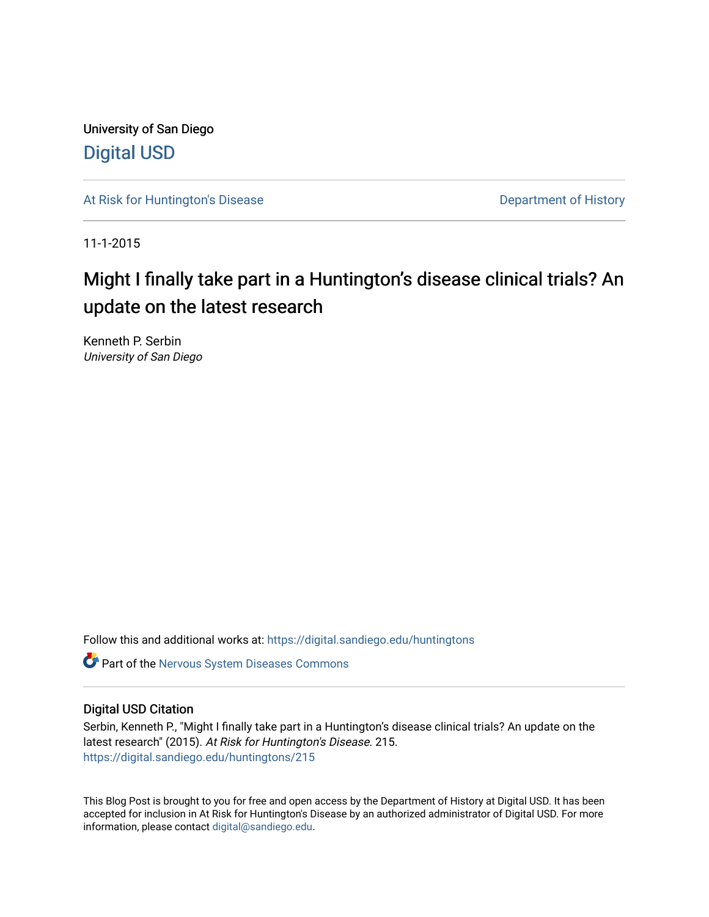University of San Diego [Digital USD](https://digital.sandiego.edu/)

[At Risk for Huntington's Disease](https://digital.sandiego.edu/huntingtons) **Department of History** Department of History

11-1-2015

# Might I finally take part in a Huntington's disease clinical trials? An update on the latest research

Kenneth P. Serbin University of San Diego

Follow this and additional works at: [https://digital.sandiego.edu/huntingtons](https://digital.sandiego.edu/huntingtons?utm_source=digital.sandiego.edu%2Fhuntingtons%2F215&utm_medium=PDF&utm_campaign=PDFCoverPages)

**C** Part of the [Nervous System Diseases Commons](http://network.bepress.com/hgg/discipline/928?utm_source=digital.sandiego.edu%2Fhuntingtons%2F215&utm_medium=PDF&utm_campaign=PDFCoverPages)

# Digital USD Citation

Serbin, Kenneth P., "Might I finally take part in a Huntington's disease clinical trials? An update on the latest research" (2015). At Risk for Huntington's Disease. 215. [https://digital.sandiego.edu/huntingtons/215](https://digital.sandiego.edu/huntingtons/215?utm_source=digital.sandiego.edu%2Fhuntingtons%2F215&utm_medium=PDF&utm_campaign=PDFCoverPages)

This Blog Post is brought to you for free and open access by the Department of History at Digital USD. It has been accepted for inclusion in At Risk for Huntington's Disease by an authorized administrator of Digital USD. For more information, please contact [digital@sandiego.edu.](mailto:digital@sandiego.edu)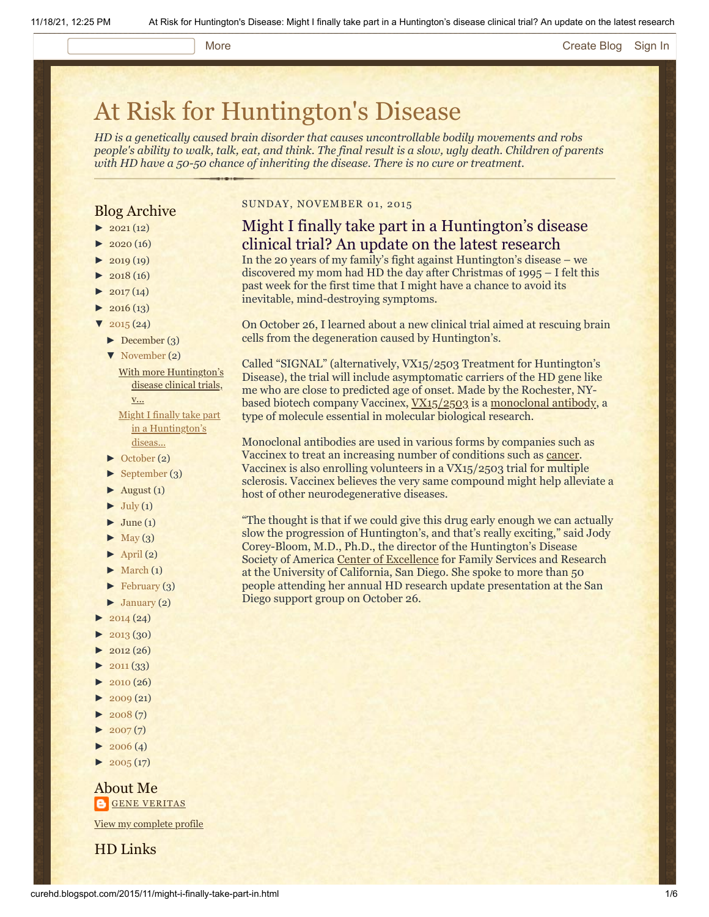#### More [Create Blog](https://www.blogger.com/home#create) [Sign In](https://www.blogger.com/)

# [At Risk for Huntington's Disease](http://curehd.blogspot.com/)

*HD is a genetically caused brain disorder that causes uncontrollable bodily movements and robs people's ability to walk, talk, eat, and think. The final result is a slow, ugly death. Children of parents with HD have a 50-50 chance of inheriting the disease. There is no cure or treatment.*

# Blog Archive

- $\blacktriangleright$  [2021](http://curehd.blogspot.com/2021/) (12)
- $2020(16)$  $2020(16)$
- $2019(19)$  $2019(19)$
- $\blacktriangleright$  [2018](http://curehd.blogspot.com/2018/) (16)
- $2017(14)$  $2017(14)$
- $2016(13)$  $2016(13)$
- $\sqrt{2015(24)}$  $\sqrt{2015(24)}$  $\sqrt{2015(24)}$ 
	- [►](javascript:void(0)) [December](http://curehd.blogspot.com/2015/12/) (3)
	- [▼](javascript:void(0)) [November](http://curehd.blogspot.com/2015/11/) (2)

With more [Huntington's](http://curehd.blogspot.com/2015/11/with-more-huntingtons-disease-clinical.html) disease clinical trials, v... Might I finally take part

in a [Huntington's](http://curehd.blogspot.com/2015/11/might-i-finally-take-part-in.html) diseas...

- [►](javascript:void(0)) [October](http://curehd.blogspot.com/2015/10/) (2)
- [►](javascript:void(0)) [September](http://curehd.blogspot.com/2015/09/) (3)
- $\blacktriangleright$  [August](http://curehd.blogspot.com/2015/08/) (1)
- $\blacktriangleright$  [July](http://curehd.blogspot.com/2015/07/) (1)
- $\blacktriangleright$  [June](http://curehd.blogspot.com/2015/06/) (1)
- $\blacktriangleright$  [May](http://curehd.blogspot.com/2015/05/) (3)
- $\blacktriangleright$  [April](http://curehd.blogspot.com/2015/04/) (2)
- $\blacktriangleright$  [March](http://curehd.blogspot.com/2015/03/)  $(1)$
- [►](javascript:void(0)) [February](http://curehd.blogspot.com/2015/02/) (3)
- $\blacktriangleright$  [January](http://curehd.blogspot.com/2015/01/) (2)
- $\blacktriangleright$  [2014](http://curehd.blogspot.com/2014/) (24)
- $2013(30)$  $2013(30)$
- [►](javascript:void(0)) [2012](http://curehd.blogspot.com/2012/) (26)
- $\blacktriangleright$  [2011](http://curehd.blogspot.com/2011/) (33)
- $\blacktriangleright$  [2010](http://curehd.blogspot.com/2010/) (26)
- $\blacktriangleright$  [2009](http://curehd.blogspot.com/2009/) $(21)$
- $\blacktriangleright$  [2008](http://curehd.blogspot.com/2008/) $(7)$
- $\blacktriangleright$  [2007](http://curehd.blogspot.com/2007/) $(7)$
- $\blacktriangleright$  [2006](http://curehd.blogspot.com/2006/) (4)
- $\blacktriangleright$  [2005](http://curehd.blogspot.com/2005/) (17)

About Me **GENE [VERITAS](https://www.blogger.com/profile/10911736205741688185)** 

View my [complete](https://www.blogger.com/profile/10911736205741688185) profile

HD Links

# SUNDAY, NOVEMBER 01, 2015

# Might I finally take part in a Huntington's disease clinical trial? An update on the latest research

In the 20 years of my family's fight against Huntington's disease – we discovered my mom had HD the day after Christmas of 1995 – I felt this past week for the first time that I might have a chance to avoid its inevitable, mind-destroying symptoms.

On October 26, I learned about a new clinical trial aimed at rescuing brain cells from the degeneration caused by Huntington's.

Called "SIGNAL" (alternatively, VX15/2503 Treatment for Huntington's Disease), the trial will include asymptomatic carriers of the HD gene like me who are close to predicted age of onset. Made by the Rochester, NYbased biotech company Vaccinex,  $VX15/2503$  is a [monoclonal antibody,](http://www.bio.davidson.edu/molecular/MolStudents/01rakarnik/mab.html) a type of molecule essential in molecular biological research.

Monoclonal antibodies are used in various forms by companies such as Vaccinex to treat an increasing number of conditions such as [cancer](http://www.mayoclinic.org/diseases-conditions/cancer/in-depth/monoclonal-antibody/art-20047808). Vaccinex is also enrolling volunteers in a VX15/2503 trial for multiple sclerosis. Vaccinex believes the very same compound might help alleviate a host of other neurodegenerative diseases.

"The thought is that if we could give this drug early enough we can actually slow the progression of Huntington's, and that's really exciting," said Jody Corey-Bloom, M.D., Ph.D., the director of the Huntington's Disease Society of America [Center of Excellence](http://neurosciences.ucsd.edu/centers/huntingtons-disease/Pages/default.aspx) for Family Services and Research at the University of California, San Diego. She spoke to more than 50 people attending her annual HD research update presentation at the San Diego support group on October 26.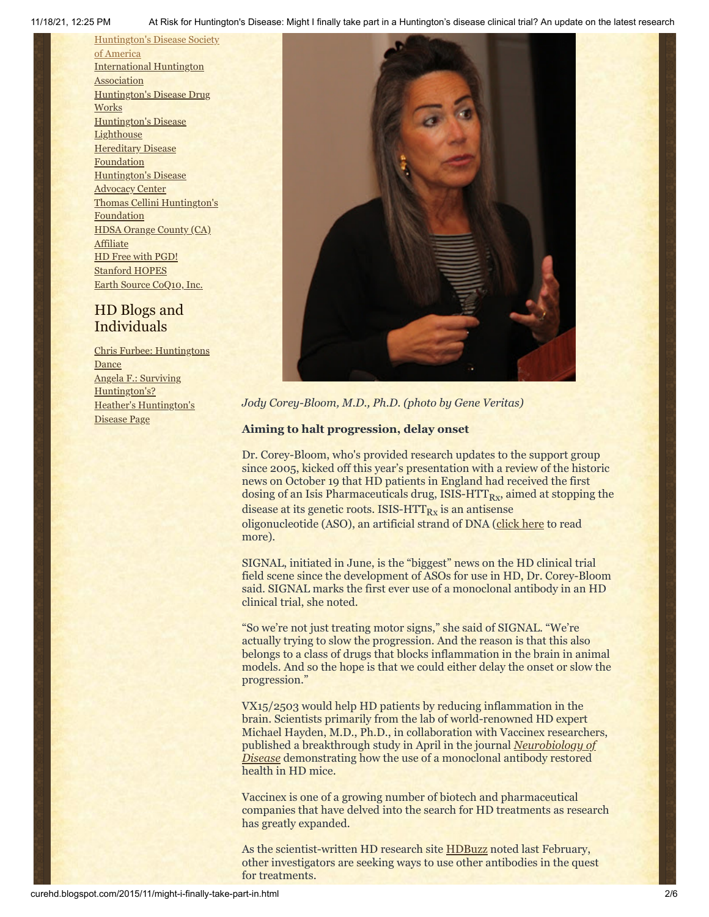11/18/21, 12:25 PM At Risk for Huntington's Disease: Might I finally take part in a Huntington's disease clinical trial? An update on the latest research

[Huntington's](http://www.hdsa.org/) Disease Society of America [International](http://www.huntington-assoc.com/) Huntington **Association** [Huntington's](http://hddrugworks.org/) Disease Drug **Works** [Huntington's](http://www.hdlighthouse.org/) Disease **Lighthouse [Hereditary](http://www.hdfoundation.org/) Disease** Foundation [Huntington's](http://www.hdac.org/) Disease Advocacy Center Thomas [Cellini Huntington's](http://www.ourtchfoundation.org/) **Foundation** HDSA Orange County (CA) **[Affiliate](http://www.hdsaoc.org/)** HD Free with [PGD!](http://www.hdfreewithpgd.com/) [Stanford](http://www.stanford.edu/group/hopes/) HOPES Earth Source [CoQ10,](http://www.escoq10.com/) Inc.

# HD Blogs and Individuals

Chris Furbee: [Huntingtons](http://www.huntingtonsdance.org/) **Dance** Angela F.: Surviving [Huntington's?](http://survivinghuntingtons.blogspot.com/) Heather's [Huntington's](http://heatherdugdale.angelfire.com/) Disease Page



*Jody Corey-Bloom, M.D., Ph.D. (photo by Gene Veritas)*

# **Aiming to halt progression, delay onset**

Dr. Corey-Bloom, who's provided research updates to the support group since 2005, kicked off this year's presentation with a review of the historic news on October 19 that HD patients in England had received the first dosing of an Isis Pharmaceuticals drug, ISIS-HTT $_{\rm{Rx}}$ , aimed at stopping the disease at its genetic roots. ISIS-HTT $_{\rm{Rx}}$  is an antisense oligonucleotide (ASO), an artificial strand of DNA ([click here](http://www.curehd.blogspot.com/2015/10/huntingtons-disease-patients-get-first.html) to read more).

SIGNAL, initiated in June, is the "biggest" news on the HD clinical trial field scene since the development of ASOs for use in HD, Dr. Corey-Bloom said. SIGNAL marks the first ever use of a monoclonal antibody in an HD clinical trial, she noted.

"So we're not just treating motor signs," she said of SIGNAL. "We're actually trying to slow the progression. And the reason is that this also belongs to a class of drugs that blocks inflammation in the brain in animal models. And so the hope is that we could either delay the onset or slow the progression."

VX15/2503 would help HD patients by reducing inflammation in the brain. Scientists primarily from the lab of world-renowned HD expert Michael Hayden, M.D., Ph.D., in collaboration with Vaccinex researchers, [published a breakthrough study in](http://www.ncbi.nlm.nih.gov/pubmed/25662335) April in the journal *Neurobiology of Disease* demonstrating how the use of a monoclonal antibody restored health in HD mice.

Vaccinex is one of a growing number of biotech and pharmaceutical companies that have delved into the search for HD treatments as research has greatly expanded.

As the scientist-written HD research site [HDBuzz](http://en.hdbuzz.net/188) noted last February, other investigators are seeking ways to use other antibodies in the quest for treatments.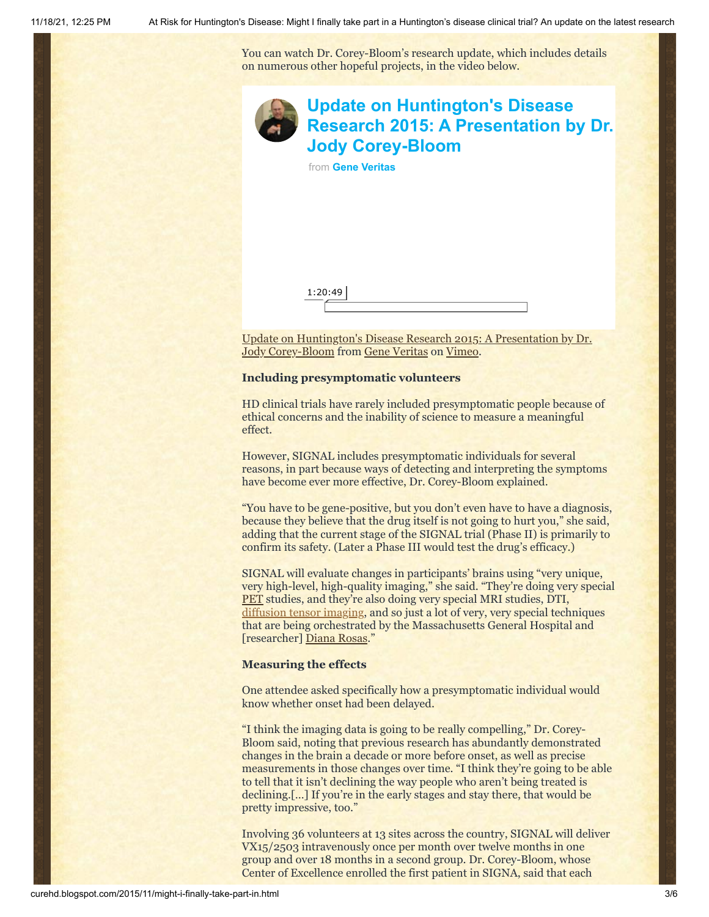You can watch Dr. Corey-Bloom's research update, which includes details on numerous other hopeful projects, in the video below.



[Update on Huntington's Disease Research 2015: A Presentation by Dr.](https://vimeo.com/143744711) Jody Corey-Bloom from [Gene Veritas](https://vimeo.com/user6019843) on [Vimeo.](https://vimeo.com/)

### **Including presymptomatic volunteers**

HD clinical trials have rarely included presymptomatic people because of ethical concerns and the inability of science to measure a meaningful effect.

However, SIGNAL includes presymptomatic individuals for several reasons, in part because ways of detecting and interpreting the symptoms have become ever more effective, Dr. Corey-Bloom explained.

"You have to be gene-positive, but you don't even have to have a diagnosis, because they believe that the drug itself is not going to hurt you," she said, adding that the current stage of the SIGNAL trial (Phase II) is primarily to confirm its safety. (Later a Phase III would test the drug's efficacy.)

SIGNAL will evaluate changes in participants' brains using "very unique, very high-level, high-quality imaging," she said. "They're doing very special [PET](https://www.nlm.nih.gov/medlineplus/ency/article/003827.htm) studies, and they're also doing very special MRI studies, DTI, [diffusion tensor imaging,](http://curehd.blogspot.com/2009/10/experiment-and-death.html) and so just a lot of very, very special techniques that are being orchestrated by the Massachusetts General Hospital and [researcher] [Diana Rosas.](http://www.massgeneral.org/neurology/researcher_profiles/rosas_herminia.aspx)"

## **Measuring the effects**

One attendee asked specifically how a presymptomatic individual would know whether onset had been delayed.

"I think the imaging data is going to be really compelling," Dr. Corey-Bloom said, noting that previous research has abundantly demonstrated changes in the brain a decade or more before onset, as well as precise measurements in those changes over time. "I think they're going to be able to tell that it isn't declining the way people who aren't being treated is declining.[…] If you're in the early stages and stay there, that would be pretty impressive, too."

Involving 36 volunteers at 13 sites across the country, SIGNAL will deliver VX15/2503 intravenously once per month over twelve months in one group and over 18 months in a second group. Dr. Corey-Bloom, whose Center of Excellence enrolled the first patient in SIGNA, said that each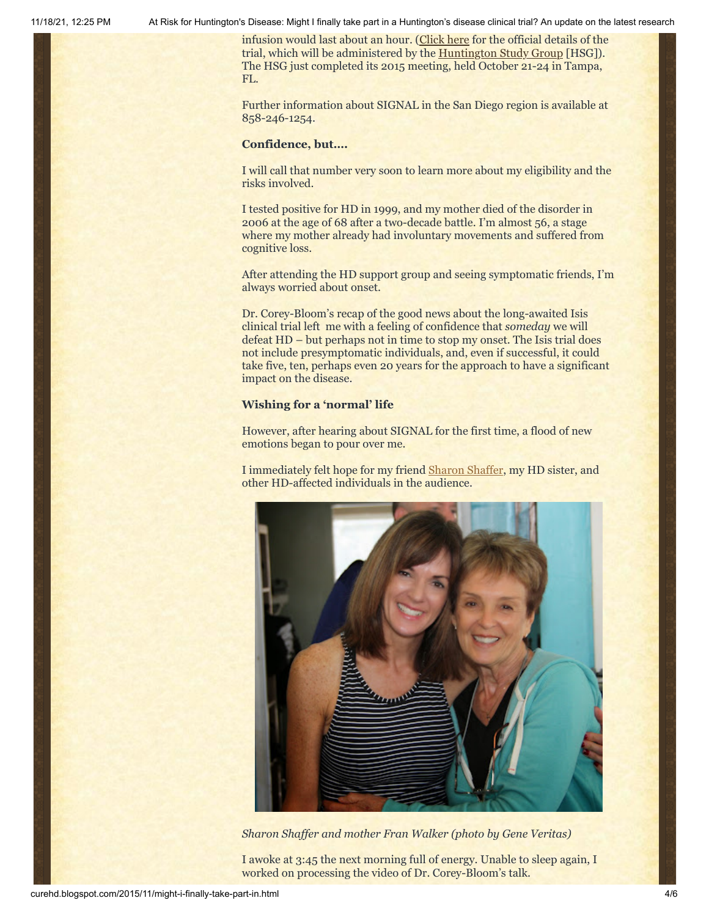11/18/21, 12:25 PM At Risk for Huntington's Disease: Might I finally take part in a Huntington's disease clinical trial? An update on the latest research

infusion would last about an hour. ([Click here](https://www.clinicaltrials.gov/ct2/show/NCT02481674?term=huntington%27s+disease&rank=61) for the official details of the trial, which will be administered by the [Huntington Study Group](http://huntingtonstudygroup.org/current-clinical-trials/signal-trial/) [HSG]). The HSG just completed its 2015 meeting, held October 21-24 in Tampa, FL.

Further information about SIGNAL in the San Diego region is available at 858-246-1254.

### **Confidence, but….**

I will call that number very soon to learn more about my eligibility and the risks involved.

I tested positive for HD in 1999, and my mother died of the disorder in 2006 at the age of 68 after a two-decade battle. I'm almost 56, a stage where my mother already had involuntary movements and suffered from cognitive loss.

After attending the HD support group and seeing symptomatic friends, I'm always worried about onset.

Dr. Corey-Bloom's recap of the good news about the long-awaited Isis clinical trial left me with a feeling of confidence that *someday* we will defeat HD – but perhaps not in time to stop my onset. The Isis trial does not include presymptomatic individuals, and, even if successful, it could take five, ten, perhaps even 20 years for the approach to have a significant impact on the disease.

### **Wishing for a 'normal' life**

However, after hearing about SIGNAL for the first time, a flood of new emotions began to pour over me.

I immediately felt hope for my friend [Sharon Shaffer,](http://curehd.blogspot.com/2014/12/sharons-inspirational-journey-with.html) my HD sister, and other HD-affected individuals in the audience.



*Sharon Shaffer and mother Fran Walker (photo by Gene Veritas)*

I awoke at 3:45 the next morning full of energy. Unable to sleep again, I worked on processing the video of Dr. Corey-Bloom's talk.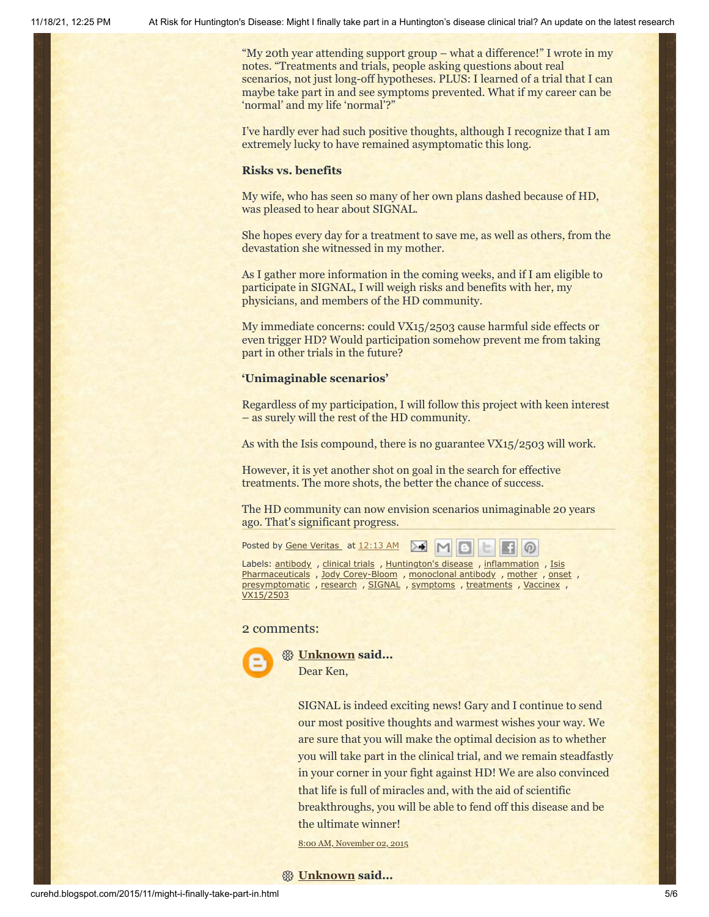"My 20th year attending support group – what a difference!" I wrote in my notes. "Treatments and trials, people asking questions about real scenarios, not just long-off hypotheses. PLUS: I learned of a trial that I can maybe take part in and see symptoms prevented. What if my career can be 'normal' and my life 'normal'?"

I've hardly ever had such positive thoughts, although I recognize that I am extremely lucky to have remained asymptomatic this long.

#### **Risks vs. benefits**

My wife, who has seen so many of her own plans dashed because of HD, was pleased to hear about SIGNAL.

She hopes every day for a treatment to save me, as well as others, from the devastation she witnessed in my mother.

As I gather more information in the coming weeks, and if I am eligible to participate in SIGNAL, I will weigh risks and benefits with her, my physicians, and members of the HD community.

My immediate concerns: could VX15/2503 cause harmful side effects or even trigger HD? Would participation somehow prevent me from taking part in other trials in the future?

#### **'Unimaginable scenarios'**

Regardless of my participation, I will follow this project with keen interest – as surely will the rest of the HD community.

As with the Isis compound, there is no guarantee VX15/2503 will work.

However, it is yet another shot on goal in the search for effective treatments. The more shots, the better the chance of success.

The HD community can now envision scenarios unimaginable 20 years ago. That's significant progress.

 $M$ 

စ

Posted by Gene [Veritas](https://www.blogger.com/profile/03599828959793084715) at [12:13](http://curehd.blogspot.com/2015/11/might-i-finally-take-part-in.html) AM ≻€

Labels: [antibody](http://curehd.blogspot.com/search/label/antibody) , [clinical](http://curehd.blogspot.com/search/label/clinical%20trials) trials , [Huntington's](http://curehd.blogspot.com/search/label/Huntington%27s%20disease) disease , [inflammation](http://curehd.blogspot.com/search/label/inflammation) , Isis [Pharmaceuticals](http://curehd.blogspot.com/search/label/Isis%20Pharmaceuticals) , Jody [Corey-Bloom](http://curehd.blogspot.com/search/label/Jody%20Corey-Bloom) , [monoclonal](http://curehd.blogspot.com/search/label/monoclonal%20antibody) antibody , [mother](http://curehd.blogspot.com/search/label/mother) , [onset](http://curehd.blogspot.com/search/label/onset) , [presymptomatic](http://curehd.blogspot.com/search/label/presymptomatic) , [research](http://curehd.blogspot.com/search/label/research) , [SIGNAL](http://curehd.blogspot.com/search/label/SIGNAL) , [symptoms](http://curehd.blogspot.com/search/label/symptoms) , [treatments](http://curehd.blogspot.com/search/label/treatments) , [Vaccinex](http://curehd.blogspot.com/search/label/Vaccinex) , [VX15/2503](http://curehd.blogspot.com/search/label/VX15%2F2503)

# 2 comments:



**[Unknown](https://www.blogger.com/profile/08344530959544546220) said...** Dear Ken,

> SIGNAL is indeed exciting news! Gary and I continue to send our most positive thoughts and warmest wishes your way. We are sure that you will make the optimal decision as to whether you will take part in the clinical trial, and we remain steadfastly in your corner in your fight against HD! We are also convinced that life is full of miracles and, with the aid of scientific breakthroughs, you will be able to fend off this disease and be the ultimate winner!

8:00 AM, [November](http://curehd.blogspot.com/2015/11/might-i-finally-take-part-in.html?showComment=1446480039502#c3823443430501750680) 02, 2015

# **[Unknown](https://www.blogger.com/profile/04035120869119959544) said...**